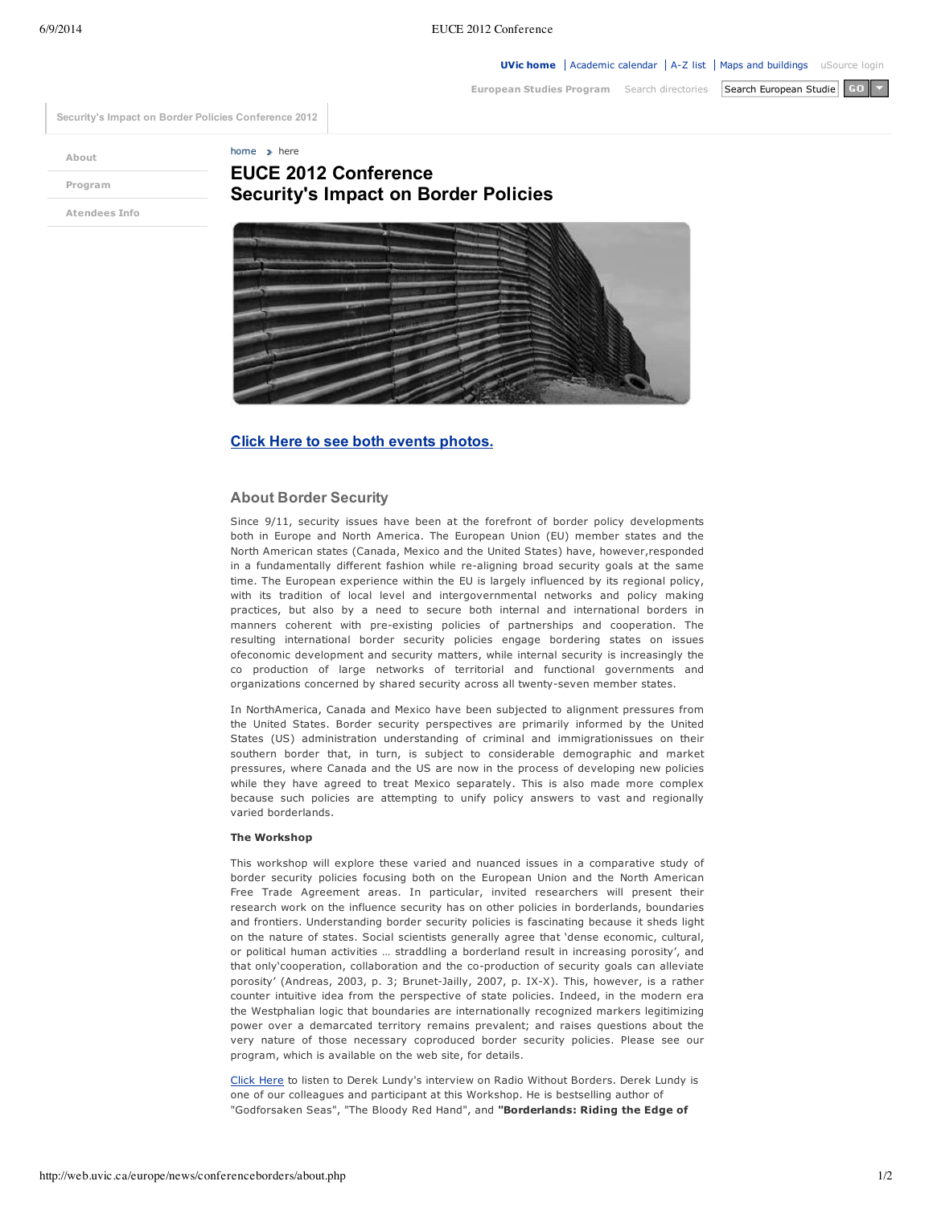**European Studies Program** Search directories Search European Studie GO

**Security's Impact on Border Policies Conference 2012**

**About**

home  $\rightarrow$  here

**Program**

# **EUCE 2012 Conference Security's Impact on Border Policies**

**Atendees Info**



## **Click Here to see both events photos.**

#### **About Border Security**

Since 9/11, security issues have been at the forefront of border policy developments both in Europe and North America. The European Union (EU) member states and the North American states (Canada, Mexico and the United States) have, however,responded in a fundamentally different fashion while re-aligning broad security goals at the same time. The European experience within the EU is largely influenced by its regional policy, with its tradition of local level and intergovernmental networks and policy making practices, but also by a need to secure both internal and international borders in manners coherent with pre-existing policies of partnerships and cooperation. The resulting international border security policies engage bordering states on issues ofeconomic development and security matters, while internal security is increasingly the co production of large networks of territorial and functional governments and organizations concerned by shared security across all twenty-seven member states.

In NorthAmerica, Canada and Mexico have been subjected to alignment pressures from the United States. Border security perspectives are primarily informed by the United States (US) administration understanding of criminal and immigrationissues on their southern border that, in turn, is subject to considerable demographic and market pressures, where Canada and the US are now in the process of developing new policies while they have agreed to treat Mexico separately. This is also made more complex because such policies are attempting to unify policy answers to vast and regionally varied borderlands.

#### **The Workshop**

This workshop will explore these varied and nuanced issues in a comparative study of border security policies focusing both on the European Union and the North American Free Trade Agreement areas. In particular, invited researchers will present their research work on the influence security has on other policies in borderlands, boundaries and frontiers. Understanding border security policies is fascinating because it sheds light on the nature of states. Social scientists generally agree that 'dense economic, cultural, or political human activities … straddling a borderland result in increasing porosity', and that only'cooperation, collaboration and the co-production of security goals can alleviate porosity' (Andreas, 2003, p. 3; Brunet-Jailly, 2007, p. IX-X). This, however, is a rather counter intuitive idea from the perspective of state policies. Indeed, in the modern era the Westphalian logic that boundaries are internationally recognized markers legitimizing power over a demarcated territory remains prevalent; and raises questions about the very nature of those necessary coproduced border security policies. Please see our program, which is available on the web site, for details.

Click Here to listen to Derek Lundy's interview on Radio Without Borders. Derek Lundy is one of our colleagues and participant at this Workshop. He is bestselling author of "Godforsaken Seas", "The Bloody Red Hand", and **"Borderlands: Riding the Edge of**